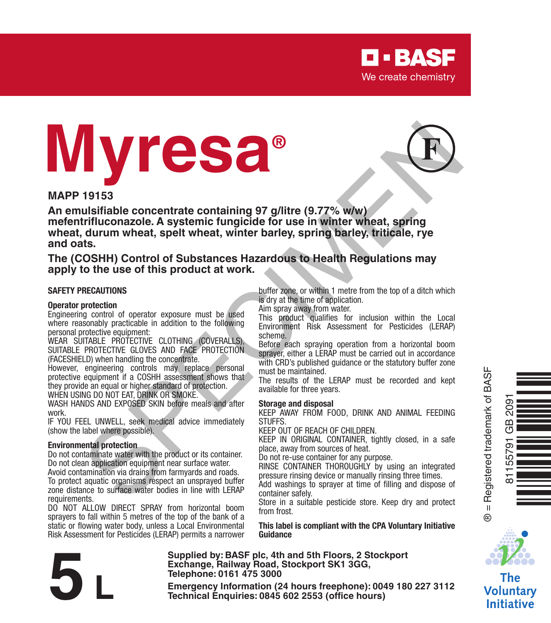

# **Myresa®**



#### **MAPP 19153**

**An emulsifiable concentrate containing 97 g/litre (9.77% w/w) mefentrifluconazole. A systemic fungicide for use in winter wheat, spring wheat, durum wheat, spelt wheat, winter barley, spring barley, triticale, rye and oats. 19153**<br>
Usefizible concentrate containing 97 giltre (9.77% www.<br>
ustrializable concentrate containing 97 giltre (9.77% www.<br>
trifluconazole. A systemic fungicide for use in winter wheat, spring<br>
to the use of this product

**The (COSHH) Control of Substances Hazardous to Health Regulations may apply to the use of this product at work.**

#### **SAFETY PRECAUTIONS**

#### **Operator protection**

Engineering control of operator exposure must be used where reasonably practicable in addition to the following personal protective equipment:

WEAR SUITABLE PROTECTIVE CLOTHING (COVERALLS), SUITABLE PROTECTIVE GLOVES AND FACE PROTECTION (FACESHIELD) when handling the concentrate.

However, engineering controls may replace personal protective equipment if a COSHH assessment shows that they provide an equal or higher standard of protection.

WHEN USING DO NOT FAT, DRINK OR SMOKE.

WASH HANDS AND EXPOSED SKIN before meals and after work.

IF YOU FEEL UNWELL, seek medical advice immediately (show the label where possible).

#### **Environmental protection**

Do not contaminate water with the product or its container. Do not clean application equipment near surface water. Avoid contamination via drains from farmyards and roads. To protect aquatic organisms respect an unsprayed buffer zone distance to surface water bodies in line with LERAP requirements.

DO NOT ALLOW DIRECT SPRAY from horizontal boom sprayers to fall within 5 metres of the top of the bank of a static or flowing water body, unless a Local Environmental Risk Assessment for Pesticides (LERAP) permits a narrower buffer zone, or within 1 metre from the top of a ditch which is dry at the time of application.

Aim spray away from water.

This product qualifies for inclusion within the Local Environment Risk Assessment for Pesticides (LERAP) scheme.

Before each spraying operation from a horizontal boom sprayer, either a LERAP must be carried out in accordance with CRD's published guidance or the statutory buffer zone must be maintained.

The results of the LERAP must be recorded and kept available for three years.

#### **Storage and disposal**

KEEP AWAY FROM FOOD, DRINK AND ANIMAL FEEDING **STUFFS.** 

KEEP OUT OF REACH OF CHILDREN.

KEEP IN ORIGINAL CONTAINER, tightly closed, in a safe place, away from sources of heat.

Do not re-use container for any purpose.

RINSE CONTAINER THOROUGHLY by using an integrated pressure rinsing device or manually rinsing three times.

Add washings to sprayer at time of filling and dispose of container safely.

Store in a suitable pesticide store. Keep dry and protect from frost.

**This label is compliant with the CPA Voluntary Initiative Guidance**



**Supplied by: BASF plc, 4th and 5th Floors, 2 Stockport Exchange, Railway Road, Stockport SK1 3GG, Telephone: 0161 475 3000** Exchange, Rallway Road, Stockport SK1 3GG,<br>
Telephone: 0161 475 3000<br>
Emergency Information (24 hours freephone): 0049 180 227 3112<br>
Technical Enquiries: 0845 602 2553 (office hours)



® = Registered trademark of BASF

 $^{\circ}$ 



Voluntary **Initiative**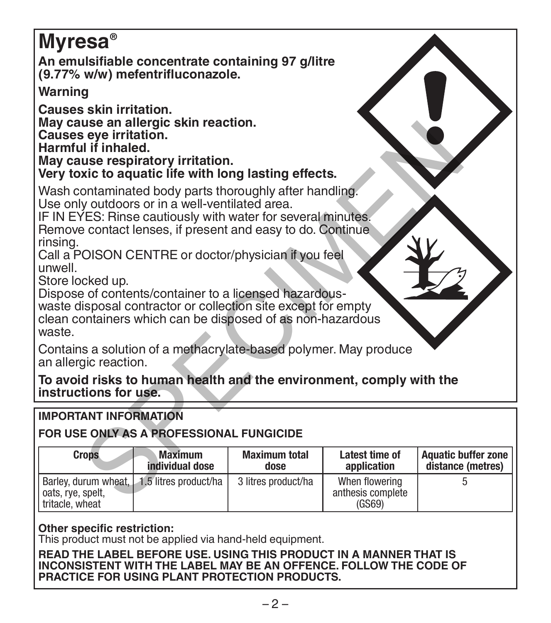# **Myresa®**

**An emulsifiable concentrate containing 97 g/litre (9.77% w/w) mefentrifluconazole.**

# **Warning**

**Causes skin irritation. May cause an allergic skin reaction. Causes eye irritation. Harmful if inhaled. May cause respiratory irritation.**

# **IMPORTANT INFORMATION**

# **FOR USE ONLY AS A PROFESSIONAL FUNGICIDE**

| may cause an allergic skin reaction.<br>Causes eve irritation.<br>Harmful if inhaled.<br>May cause respiratory irritation.<br>Very toxic to aquatic life with long lasting effects.                                                                                                   |                                   |                              |                                                |                                                 |
|---------------------------------------------------------------------------------------------------------------------------------------------------------------------------------------------------------------------------------------------------------------------------------------|-----------------------------------|------------------------------|------------------------------------------------|-------------------------------------------------|
| Wash contaminated body parts thoroughly after handling.<br>Use only outdoors or in a well-ventilated area.<br>IF IN EYES: Rinse cautiously with water for several minutes.<br>Remove contact lenses, if present and easy to do. Continue<br>rinsing.                                  |                                   |                              |                                                |                                                 |
| Call a POISON CENTRE or doctor/physician if you feel<br>unwell<br>Store locked up.<br>Dispose of contents/container to a licensed hazardous-<br>waste disposal contractor or collection site except for empty<br>clean containers which can be disposed of as non-hazardous<br>waste. |                                   |                              |                                                |                                                 |
| Contains a solution of a methacrylate-based polymer. May produce<br>an allergic reaction.                                                                                                                                                                                             |                                   |                              |                                                |                                                 |
| To avoid risks to human health and the environment, comply with the<br>instructions for use.                                                                                                                                                                                          |                                   |                              |                                                |                                                 |
| <b>IMPORTANT INFORMATION</b><br>FOR USE ONLY AS A PROFESSIONAL FUNGICIDE                                                                                                                                                                                                              |                                   |                              |                                                |                                                 |
|                                                                                                                                                                                                                                                                                       |                                   |                              |                                                |                                                 |
| <b>Crops</b>                                                                                                                                                                                                                                                                          | <b>Maximum</b><br>individual dose | <b>Maximum total</b><br>dose | Latest time of<br>application                  | <b>Aquatic buffer zone</b><br>distance (metres) |
| Barley, durum wheat,<br>oats, rye, spelt,<br>tritacle, wheat                                                                                                                                                                                                                          | 1.5 litres product/ha             | 3 litres product/ha          | When flowering<br>anthesis complete<br>(GSS69) | 5                                               |

## **Other specific restriction:**

This product must not be applied via hand-held equipment.

**READ THE LABEL BEFORE USE. USING THIS PRODUCT IN A MANNER THAT IS INCONSISTENT WITH THE LABEL MAY BE AN OFFENCE. FOLLOW THE CODE OF PRACTICE FOR USING PLANT PROTECTION PRODUCTS.**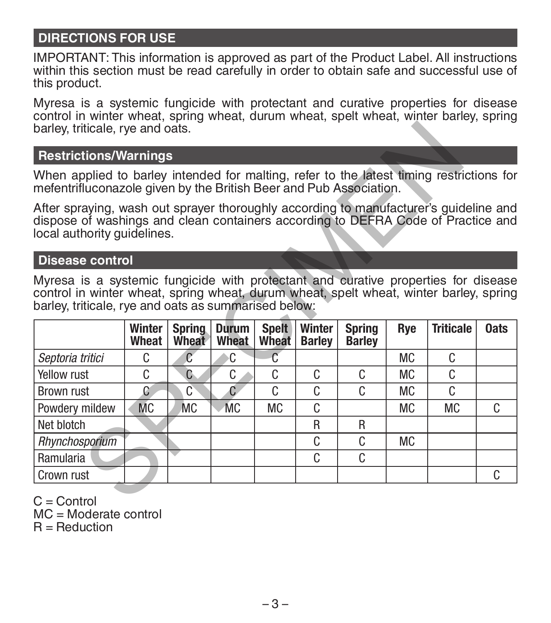# **DIRECTIONS FOR USE**

IMPORTANT: This information is approved as part of the Product Label. All instructions within this section must be read carefully in order to obtain safe and successful use of this product.

Myresa is a systemic fungicide with protectant and curative properties for disease control in winter wheat, spring wheat, durum wheat, spelt wheat, winter barley, spring barley, triticale, rye and oats.

#### **Restrictions/Warnings**

#### **Disease control**

|                                                                                                                                                                                                                                                                                                                                                                      | barley, triticale, rye and oats. |                |           |       |               |               |           |           |    |  |  |
|----------------------------------------------------------------------------------------------------------------------------------------------------------------------------------------------------------------------------------------------------------------------------------------------------------------------------------------------------------------------|----------------------------------|----------------|-----------|-------|---------------|---------------|-----------|-----------|----|--|--|
| <b>Restrictions/Warnings</b>                                                                                                                                                                                                                                                                                                                                         |                                  |                |           |       |               |               |           |           |    |  |  |
| When applied to barley intended for malting, refer to the latest timing restrictions for<br>mefentrifluconazole given by the British Beer and Pub Association.                                                                                                                                                                                                       |                                  |                |           |       |               |               |           |           |    |  |  |
| After spraying, wash out sprayer thoroughly according to manufacturer's guideline and<br>dispose of washings and clean containers according to DEFRA Code of Practice and<br>local authority quidelines.                                                                                                                                                             |                                  |                |           |       |               |               |           |           |    |  |  |
| <b>Disease control</b>                                                                                                                                                                                                                                                                                                                                               |                                  |                |           |       |               |               |           |           |    |  |  |
| Myresa is a systemic fungicide with protectant and curative properties for disease<br>control in winter wheat, spring wheat, durum wheat, spelt wheat, winter barley, spring<br>barley, triticale, rye and oats as summarised below:<br><b>Triticale</b><br>Winter<br><b>Durum</b><br><b>Spelt</b><br>Winter<br><b>Spring</b><br><b>Oats</b><br><b>Spring</b><br>Rye |                                  |                |           |       |               |               |           |           |    |  |  |
|                                                                                                                                                                                                                                                                                                                                                                      | Wheat                            | Wheat          | Wheat     | Wheat | <b>Barley</b> | <b>Barley</b> |           |           |    |  |  |
| Septoria tritici                                                                                                                                                                                                                                                                                                                                                     | C.                               | $\mathfrak{C}$ | ۰C.       | C     |               |               | <b>MC</b> | C         |    |  |  |
| Yellow rust                                                                                                                                                                                                                                                                                                                                                          | C                                | C              | C         | C     |               |               |           |           |    |  |  |
|                                                                                                                                                                                                                                                                                                                                                                      |                                  |                |           |       | C             | C.            | <b>MC</b> | C         |    |  |  |
| <b>Brown rust</b>                                                                                                                                                                                                                                                                                                                                                    | C                                | C              | C         | C     | C             | C             | <b>MC</b> | C         |    |  |  |
| Powdery mildew                                                                                                                                                                                                                                                                                                                                                       | <b>MC</b>                        | <b>MC</b>      | <b>MC</b> | МC    | C             |               | <b>MC</b> | <b>MC</b> | C. |  |  |
| Net blotch                                                                                                                                                                                                                                                                                                                                                           |                                  |                |           |       | R             | R             |           |           |    |  |  |
| Rhynchosporium                                                                                                                                                                                                                                                                                                                                                       |                                  |                |           |       | C             | C             | <b>MC</b> |           |    |  |  |
| Ramularia                                                                                                                                                                                                                                                                                                                                                            |                                  |                |           |       | C             | C             |           |           |    |  |  |

 $C =$  Control

MC = Moderate control

 $R =$  Reduction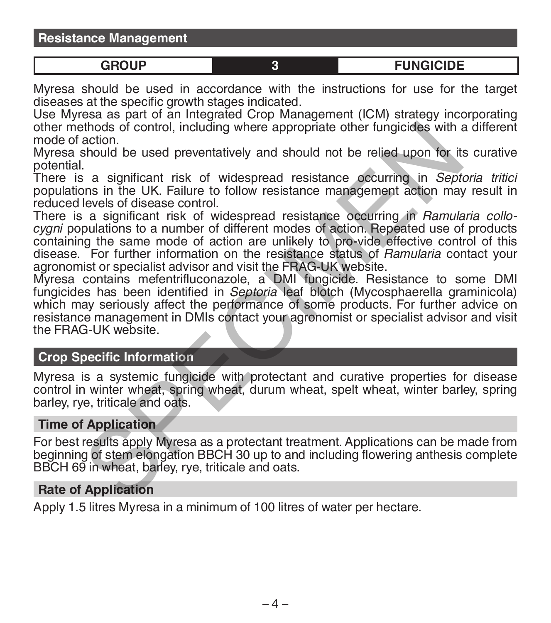**Resistance Management**

**GROUP 3 FUNGICIDE**

Myresa should be used in accordance with the instructions for use for the target diseases at the specific growth stages indicated.

Use Myresa as part of an Integrated Crop Management (ICM) strategy incorporating other methods of control, including where appropriate other fungicides with a different mode of action.

Myresa should be used preventatively and should not be relied upon for its curative potential.

There is a significant risk of widespread resistance occurring in *Septoria tritici* populations in the UK. Failure to follow resistance management action may result in reduced levels of disease control.

There is a significant risk of widespread resistance occurring in *Ramularia collocygni* populations to a number of different modes of action. Repeated use of products containing the same mode of action are unlikely to pro-vide effective control of this disease. For further information on the resistance status of *Ramularia* contact your agronomist or specialist advisor and visit the FRAG-UK website. action.<br>
action.<br>
action is a significant risk of widespread resistance occurring in September<br>
action.<br>
Sa significant risk of widespread resistance occurring in Septembers<br>
is a significant risk of widespread resistance

Myresa contains mefentrifluconazole, a DMI fungicide. Resistance to some DMI fungicides has been identified in *Septoria* leaf blotch (Mycosphaerella graminicola) which may seriously affect the performance of some products. For further advice on resistance management in DMIs contact your agronomist or specialist advisor and visit the FRAG-UK website.

## **Crop Specific Information**

Myresa is a systemic fungicide with protectant and curative properties for disease control in winter wheat, spring wheat, durum wheat, spelt wheat, winter barley, spring barley, rye, triticale and oats.

#### **Time of Application**

For best results apply Myresa as a protectant treatment. Applications can be made from beginning of stem elongation BBCH 30 up to and including flowering anthesis complete BBCH 69 in wheat, barley, rye, triticale and oats.

#### **Rate of Application**

Apply 1.5 litres Myresa in a minimum of 100 litres of water per hectare.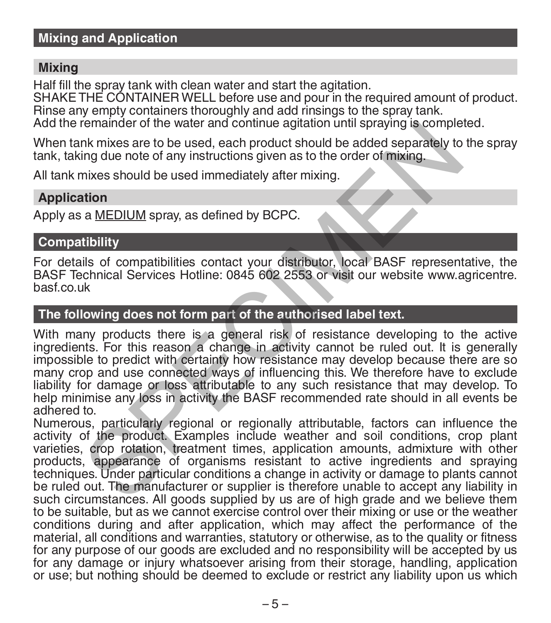## **Mixing and Application**

#### **Mixing**

Half fill the spray tank with clean water and start the agitation. SHAKE THE CONTAINER WELL before use and pour in the required amount of product. Rinse any empty containers thoroughly and add rinsings to the spray tank. Add the remainder of the water and continue agitation until spraying is completed.

When tank mixes are to be used, each product should be added separately to the spray tank, taking due note of any instructions given as to the order of mixing.

All tank mixes should be used immediately after mixing.

#### **Application**

Apply as a MEDIUM spray, as defined by BCPC.

# **Compatibility**

For details of compatibilities contact your distributor, local BASF representative, the BASF Technical Services Hotline: 0845 602 2553 or visit our website www.agricentre. basf.co.uk

## **The following does not form part of the authorised label text.**

With many products there is a general risk of resistance developing to the active ingredients. For this reason a change in activity cannot be ruled out. It is generally impossible to predict with certainty how resistance may develop because there are so many crop and use connected ways of influencing this. We therefore have to exclude liability for damage or loss attributable to any such resistance that may develop. To help minimise any loss in activity the BASF recommended rate should in all events be adhered to. remainder or the water and continue agriation until spraying is complete.<br>In gradient of the used, each product should be added separately to<br>ing due note of any instructions given as to the order of mixing.<br>In this sessib

Numerous, particularly regional or regionally attributable, factors can influence the activity of the product. Examples include weather and soil conditions, crop plant varieties, crop rotation, treatment times, application amounts, admixture with other products, appearance of organisms resistant to active ingredients and spraying techniques. Under particular conditions a change in activity or damage to plants cannot be ruled out. The manufacturer or supplier is therefore unable to accept any liability in such circumstances. All goods supplied by us are of high grade and we believe them to be suitable, but as we cannot exercise control over their mixing or use or the weather conditions during and after application, which may affect the performance of the material, all conditions and warranties, statutory or otherwise, as to the quality or fitness for any purpose of our goods are excluded and no responsibility will be accepted by us for any damage or injury whatsoever arising from their storage, handling, application or use; but nothing should be deemed to exclude or restrict any liability upon us which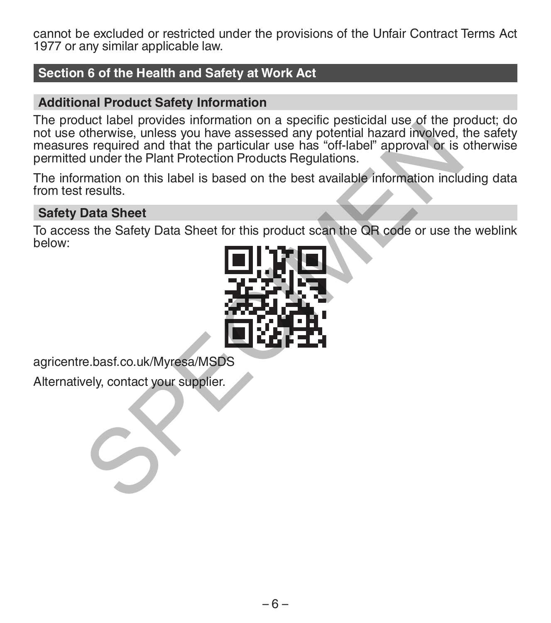cannot be excluded or restricted under the provisions of the Unfair Contract Terms Act 1977 or any similar applicable law.

# **Section 6 of the Health and Safety at Work Act**

#### **Additional Product Safety Information**

The product label provides information on a specific pesticidal use of the product; do not use otherwise, unless you have assessed any potential hazard involved, the safety measures required and that the particular use has "off-label" approval or is otherwise permitted under the Plant Protection Products Regulations. Note rates provides interesting under the rate of the provides there is a set equived to the particular use has "off-label" approval or is<br>a required and that the particular use has "off-label" approval or is<br>during the Pl

The information on this label is based on the best available information including data from test results.

## **Safety Data Sheet**

To access the Safety Data Sheet for this product scan the QR code or use the weblink below:



agricentre.basf.co.uk/Myresa/MSDS

Alternatively, contact your supplier.